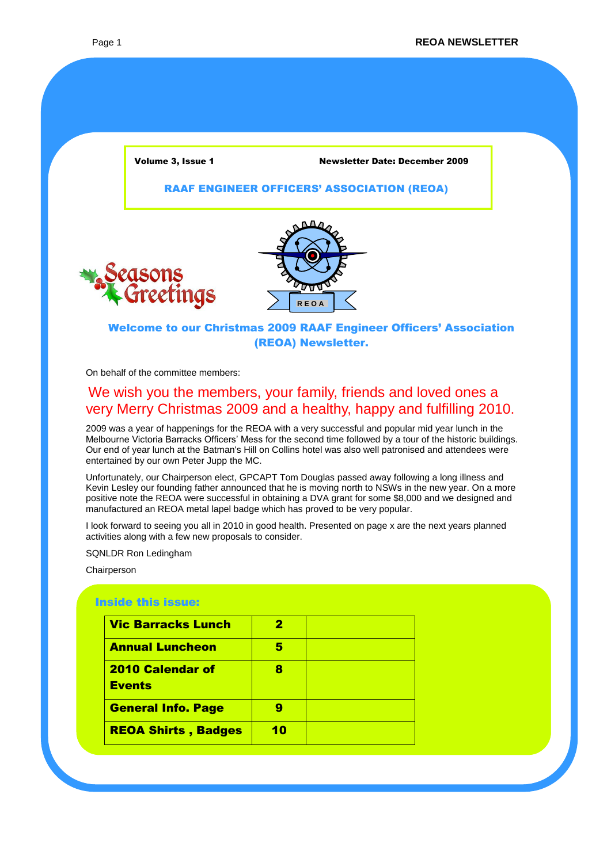Volume 3, Issue 1 Newsletter Date: December 2009

# RAAF ENGINEER OFFICERS' RAAF ENGINEER OFFICERS' ASSOCIATION (REOA)



ASSOCIATION (REORGEN EN EN EN EL ESTADO EN EL ESTADO EN EL ESTADO EN EL ESTADO EN EL ESTADO EN EL ESTADO EN EL



## Welcome to our Christmas 2009 RAAF Engineer Officers' Association (REOA) Newsletter.

On behalf of the committee members:

# We wish you the members, your family, friends and loved ones a very Merry Christmas 2009 and a healthy, happy and fulfilling 2010.

2009 was a year of happenings for the REOA with a very successful and popular mid year lunch in the Melbourne Victoria Barracks Officers' Mess for the second time followed by a tour of the historic buildings. Our end of year lunch at the Batman's Hill on Collins hotel was also well patronised and attendees were entertained by our own Peter Jupp the MC.

Unfortunately, our Chairperson elect, GPCAPT Tom Douglas passed away following a long illness and Kevin Lesley our founding father announced that he is moving north to NSWs in the new year. On a more positive note the REOA were successful in obtaining a DVA grant for some \$8,000 and we designed and manufactured an REOA metal lapel badge which has proved to be very popular.

I look forward to seeing you all in 2010 in good health. Presented on page x are the next years planned activities along with a few new proposals to consider.

SQNLDR Ron Ledingham

Chairperson

#### Inside this issue:

| <b>Vic Barracks Lunch</b>                | 2  |  |
|------------------------------------------|----|--|
| <b>Annual Luncheon</b>                   | 5  |  |
| <b>2010 Calendar of</b><br><b>Events</b> |    |  |
| <b>General Info. Page</b>                |    |  |
| <b>REOA Shirts, Badges</b>               | 10 |  |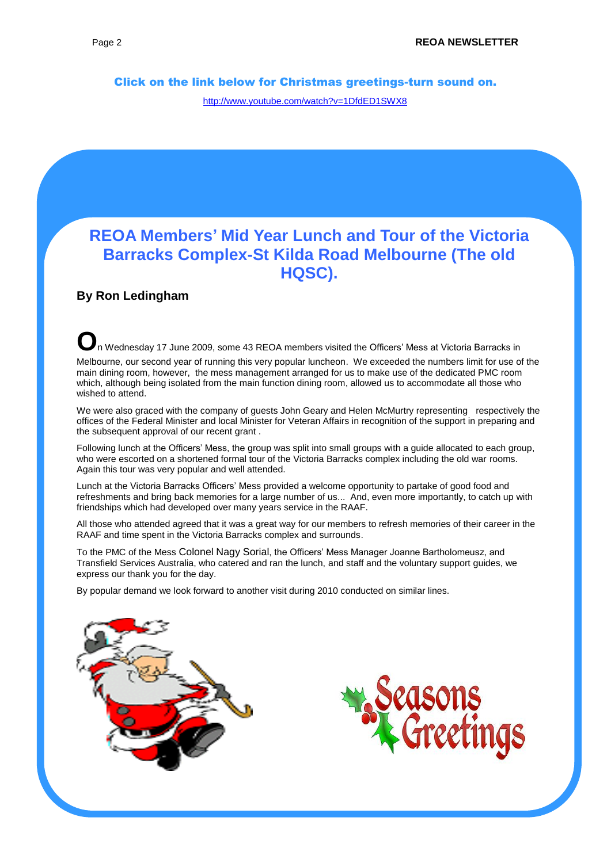Click on the link below for Christmas greetings-turn sound on.

<http://www.youtube.com/watch?v=1DfdED1SWX8>

# **REOA Members' Mid Year Lunch and Tour of the Victoria Barracks Complex-St Kilda Road Melbourne (The old HQSC).**

### **By Ron Ledingham**

**O**n Wednesday 17 June 2009, some 43 REOA members visited the Officers' Mess at Victoria Barracks in Melbourne, our second year of running this very popular luncheon. We exceeded the numbers limit for use of the main dining room, however, the mess management arranged for us to make use of the dedicated PMC room which, although being isolated from the main function dining room, allowed us to accommodate all those who wished to attend.

We were also graced with the company of guests John Geary and Helen McMurtry representing respectively the offices of the Federal Minister and local Minister for Veteran Affairs in recognition of the support in preparing and the subsequent approval of our recent grant .

Following lunch at the Officers' Mess, the group was split into small groups with a guide allocated to each group, who were escorted on a shortened formal tour of the Victoria Barracks complex including the old war rooms. Again this tour was very popular and well attended.

Lunch at the Victoria Barracks Officers' Mess provided a welcome opportunity to partake of good food and refreshments and bring back memories for a large number of us... And, even more importantly, to catch up with friendships which had developed over many years service in the RAAF.

All those who attended agreed that it was a great way for our members to refresh memories of their career in the RAAF and time spent in the Victoria Barracks complex and surrounds.

To the PMC of the Mess Colonel Nagy Sorial, the Officers' Mess Manager Joanne Bartholomeusz, and Transfield Services Australia, who catered and ran the lunch, and staff and the voluntary support guides, we express our thank you for the day.

By popular demand we look forward to another visit during 2010 conducted on similar lines.



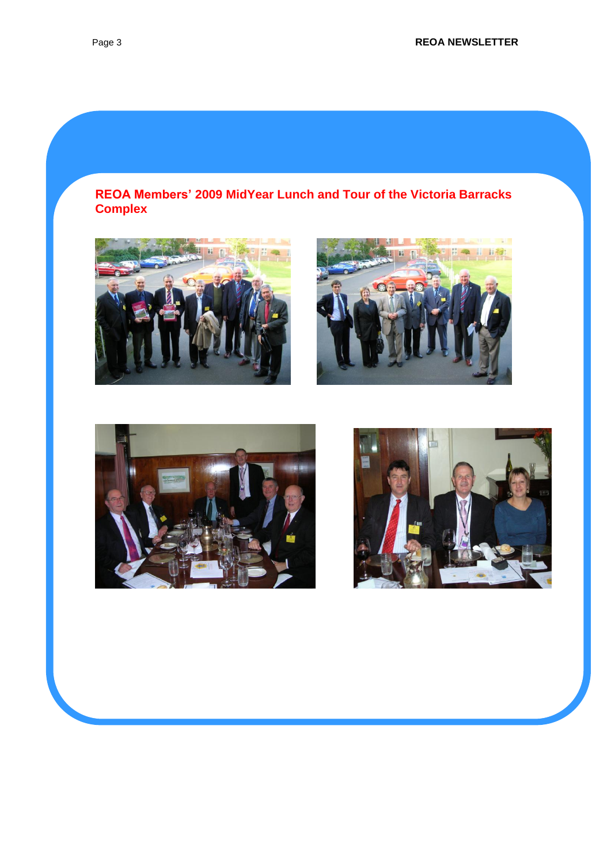**REOA Members' 2009 MidYear Lunch and Tour of the Victoria Barracks Complex**







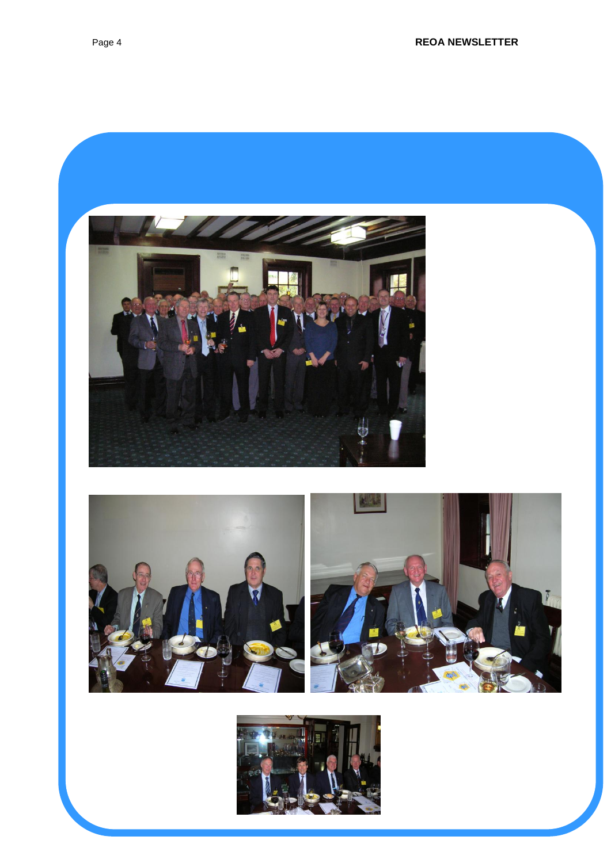

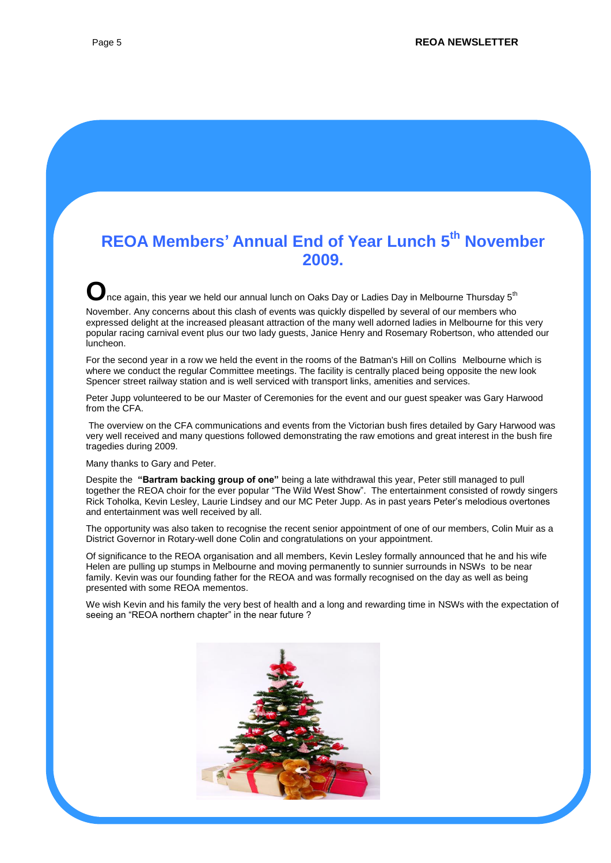# **Barracks Complex-continued REOA Members' Annual End of Year Lunch 5 th November 2009.**

nce again, this year we held our annual lunch on Oaks Day or Ladies Day in Melbourne Thursday 5<sup>th</sup>

November. Any concerns about this clash of events was quickly dispelled by several of our members who expressed delight at the increased pleasant attraction of the many well adorned ladies in Melbourne for this very popular racing carnival event plus our two lady guests, Janice Henry and Rosemary Robertson, who attended our luncheon.

For the second year in a row we held the event in the rooms of the Batman's Hill on Collins Melbourne which is where we conduct the regular Committee meetings. The facility is centrally placed being opposite the new look Spencer street railway station and is well serviced with transport links, amenities and services.

Peter Jupp volunteered to be our Master of Ceremonies for the event and our guest speaker was Gary Harwood from the CFA.

The overview on the CFA communications and events from the Victorian bush fires detailed by Gary Harwood was very well received and many questions followed demonstrating the raw emotions and great interest in the bush fire tragedies during 2009.

Many thanks to Gary and Peter.

Despite the **"Bartram backing group of one"** being a late withdrawal this year, Peter still managed to pull together the REOA choir for the ever popular "The Wild West Show". The entertainment consisted of rowdy singers Rick Toholka, Kevin Lesley, Laurie Lindsey and our MC Peter Jupp. As in past years Peter's melodious overtones and entertainment was well received by all.

The opportunity was also taken to recognise the recent senior appointment of one of our members, Colin Muir as a District Governor in Rotary-well done Colin and congratulations on your appointment.

Of significance to the REOA organisation and all members, Kevin Lesley formally announced that he and his wife Helen are pulling up stumps in Melbourne and moving permanently to sunnier surrounds in NSWs to be near family. Kevin was our founding father for the REOA and was formally recognised on the day as well as being presented with some REOA mementos.

We wish Kevin and his family the very best of health and a long and rewarding time in NSWs with the expectation of seeing an "REOA northern chapter" in the near future ?

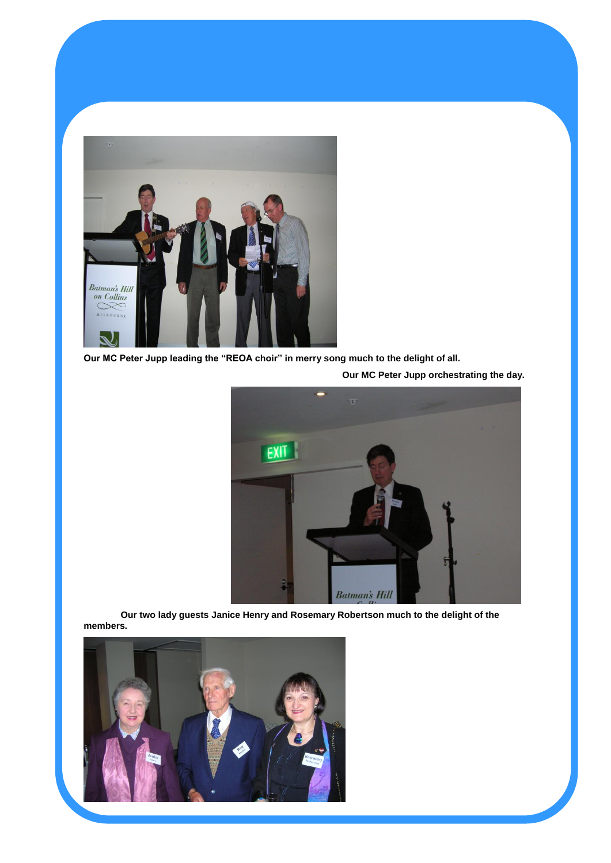

**Our MC Peter Jupp leading the "REOA choir" in merry song much to the delight of all.**

**Our MC Peter Jupp orchestrating the day.**



**Our two lady guests Janice Henry and Rosemary Robertson much to the delight of the members.**

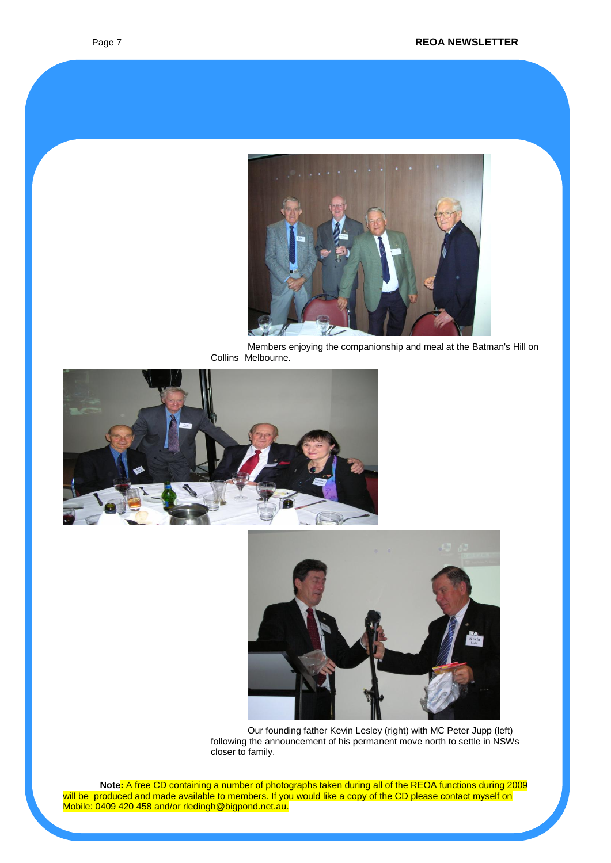

Members enjoying the companionship and meal at the Batman's Hill on Collins Melbourne.





Our founding father Kevin Lesley (right) with MC Peter Jupp (left) following the announcement of his permanent move north to settle in NSWs closer to family.

**Note:** A free CD containing a number of photographs taken during all of the REOA functions during 2009 will be produced and made available to members. If you would like a copy of the CD please contact myself on Mobile: 0409 420 458 and/or rledingh@bigpond.net.au.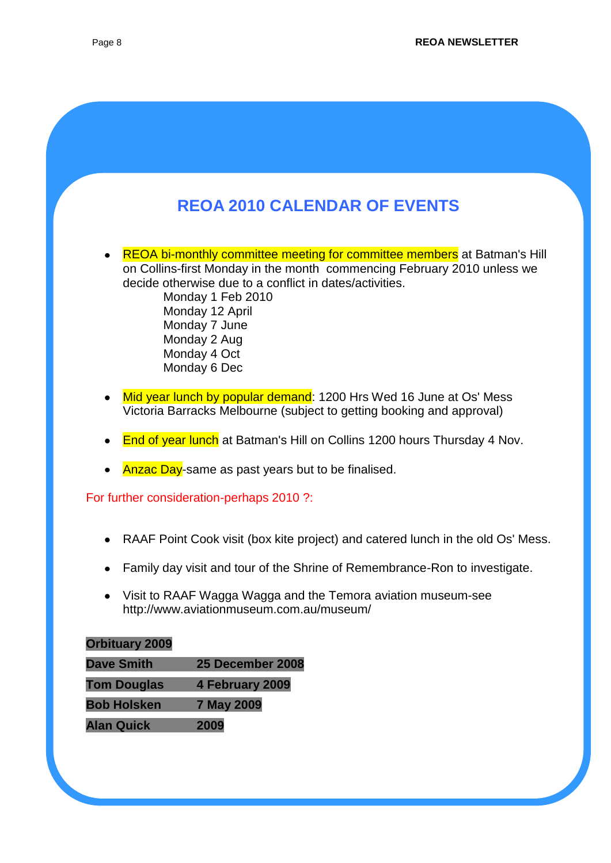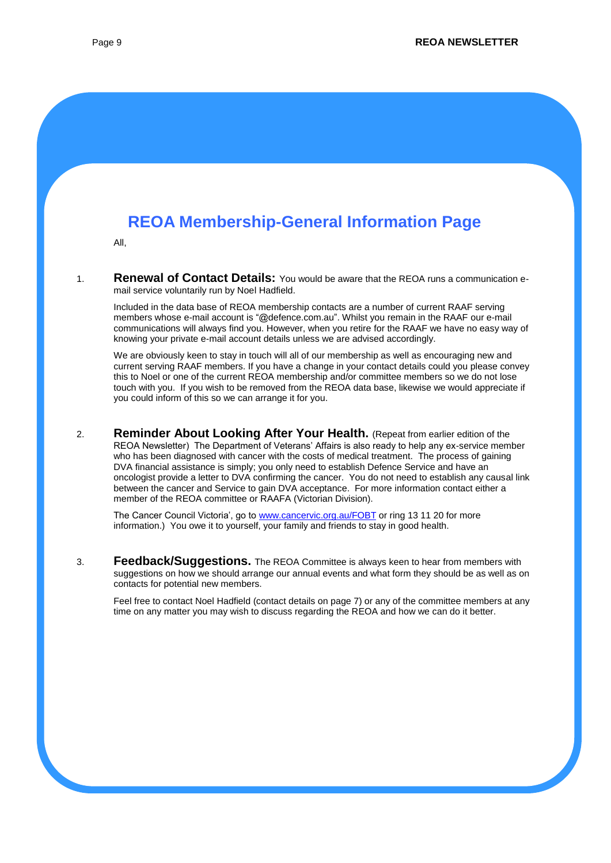# **REOA Membership-General Information Page**

All,

1. **Renewal of Contact Details:** You would be aware that the REOA runs a communication email service voluntarily run by Noel Hadfield.

Included in the data base of REOA membership contacts are a number of current RAAF serving members whose e-mail account is "@defence.com.au". Whilst you remain in the RAAF our e-mail communications will always find you. However, when you retire for the RAAF we have no easy way of knowing your private e-mail account details unless we are advised accordingly.

We are obviously keen to stay in touch will all of our membership as well as encouraging new and current serving RAAF members. If you have a change in your contact details could you please convey this to Noel or one of the current REOA membership and/or committee members so we do not lose touch with you. If you wish to be removed from the REOA data base, likewise we would appreciate if you could inform of this so we can arrange it for you.

2. **Reminder About Looking After Your Health.** (Repeat from earlier edition of the REOA Newsletter) The Department of Veterans' Affairs is also ready to help any ex-service member who has been diagnosed with cancer with the costs of medical treatment. The process of gaining DVA financial assistance is simply; you only need to establish Defence Service and have an oncologist provide a letter to DVA confirming the cancer. You do not need to establish any causal link between the cancer and Service to gain DVA acceptance. For more information contact either a member of the REOA committee or RAAFA (Victorian Division).

The Cancer Council Victoria', go to [www.cancervic.org.au/FOBT](http://www.cancervic.org.au/FOBT) or ring 13 11 20 for more information.) You owe it to yourself, your family and friends to stay in good health.

3. **Feedback/Suggestions.** The REOA Committee is always keen to hear from members with suggestions on how we should arrange our annual events and what form they should be as well as on contacts for potential new members.

Feel free to contact Noel Hadfield (contact details on page 7) or any of the committee members at any time on any matter you may wish to discuss regarding the REOA and how we can do it better.